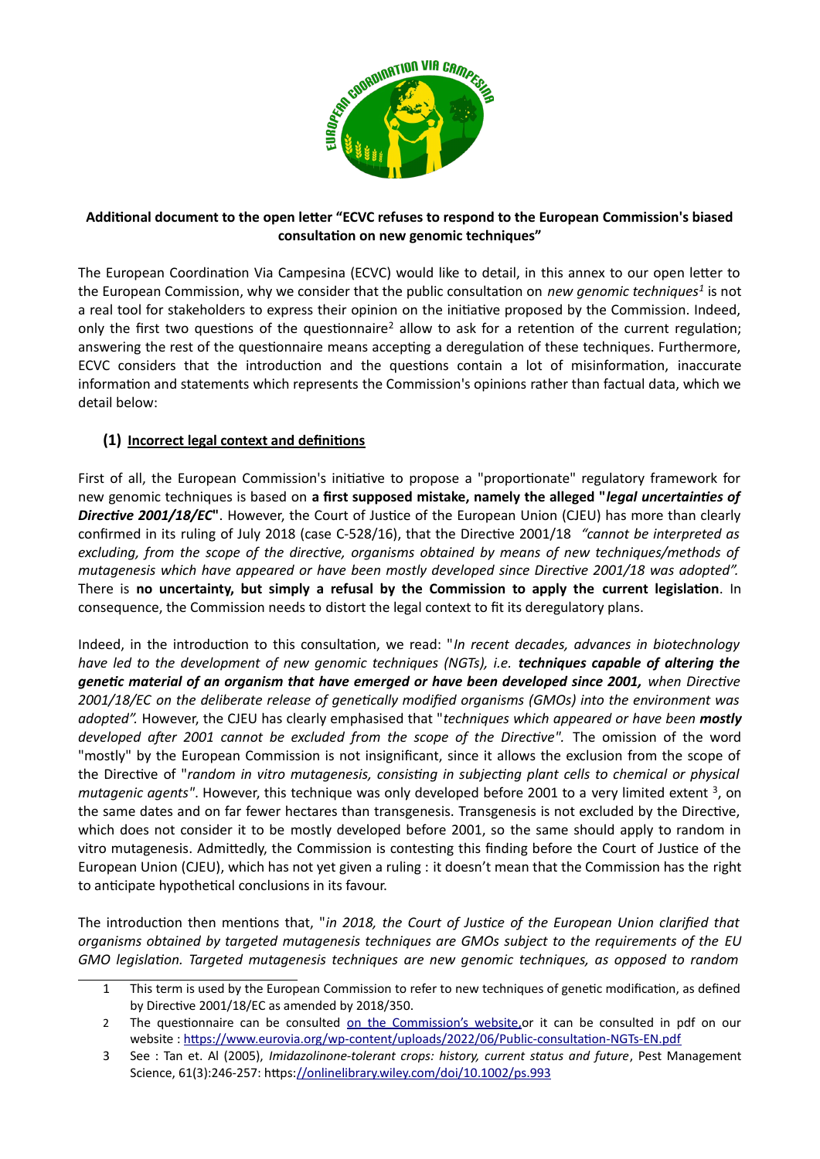

### **Additional document to the open letter "ECVC refuses to respond to the European Commission's biased consultation on new genomic techniques"**

The European Coordination Via Campesina (ECVC) would like to detail, in this annex to our open letter to the European Commission, why we consider that the public consultation on *new genomic techniques<sup>[1](#page-0-0)</sup>* is not a real tool for stakeholders to express their opinion on the initiative proposed by the Commission. Indeed, only the first two questions of the questionnaire<sup>[2](#page-0-1)</sup> allow to ask for a retention of the current regulation; answering the rest of the questionnaire means accepting a deregulation of these techniques. Furthermore, ECVC considers that the introduction and the questions contain a lot of misinformation, inaccurate information and statements which represents the Commission's opinions rather than factual data, which we detail below:

# **(1) Incorrect legal context and definitions**

First of all, the European Commission's initiative to propose a "proportionate" regulatory framework for new genomic techniques is based on **a first supposed mistake, namely the alleged "***legal uncertainties of Directive 2001/18/EC***"**. However, the Court of Justice of the European Union (CJEU) has more than clearly confirmed in its ruling of July 2018 (case C-528/16), that the Directive 2001/18 *"cannot be interpreted as excluding, from the scope of the directive, organisms obtained by means of new techniques/methods of mutagenesis which have appeared or have been mostly developed since Directive 2001/18 was adopted".* There is **no uncertainty, but simply a refusal by the Commission to apply the current legislation**. In consequence, the Commission needs to distort the legal context to fit its deregulatory plans.

Indeed, in the introduction to this consultation, we read: "*In recent decades, advances in biotechnology have led to the development of new genomic techniques (NGTs), i.e. techniques capable of altering the genetic material of an organism that have emerged or have been developed since 2001, when Directive 2001/18/EC on the deliberate release of genetically modified organisms (GMOs) into the environment was adopted".* However, the CJEU has clearly emphasised that "*techniques which appeared or have been mostly developed after 2001 cannot be excluded from the scope of the Directive".* The omission of the word "mostly" by the European Commission is not insignificant, since it allows the exclusion from the scope of the Directive of "*random in vitro mutagenesis, consisting in subjecting plant cells to chemical or physical* mutagenic agents". However, this technique was only developed before 2001 to a very limited extent <sup>[3](#page-0-2)</sup>, on the same dates and on far fewer hectares than transgenesis. Transgenesis is not excluded by the Directive, which does not consider it to be mostly developed before 2001, so the same should apply to random in vitro mutagenesis. Admittedly, the Commission is contesting this finding before the Court of Justice of the European Union (CJEU), which has not yet given a ruling : it doesn't mean that the Commission has the right to anticipate hypothetical conclusions in its favour.

The introduction then mentions that, "*in 2018, the Court of Justice of the European Union clarified that organisms obtained by targeted mutagenesis techniques are GMOs subject to the requirements of the EU GMO legislation. Targeted mutagenesis techniques are new genomic techniques, as opposed to random*

<span id="page-0-0"></span><sup>1</sup> This term is used by the European Commission to refer to new techniques of genetic modification, as defined by Directive 2001/18/EC as amended by 2018/350.

<span id="page-0-1"></span><sup>2</sup> The questionnaire can be consulted on the Commission's website, or it can be consulted in pdf on our website :<https://www.eurovia.org/wp-content/uploads/2022/06/Public-consultation-NGTs-EN.pdf>

<span id="page-0-2"></span><sup>3</sup> See : Tan et. Al (2005), *Imidazolinone-tolerant crops: history, current status and future*, Pest Management Science, 61(3):246-257: https[://onlinelibrary.wiley.com/doi/10.1002/ps.993](https://onlinelibrary.wiley.com/doi/10.1002/ps.993)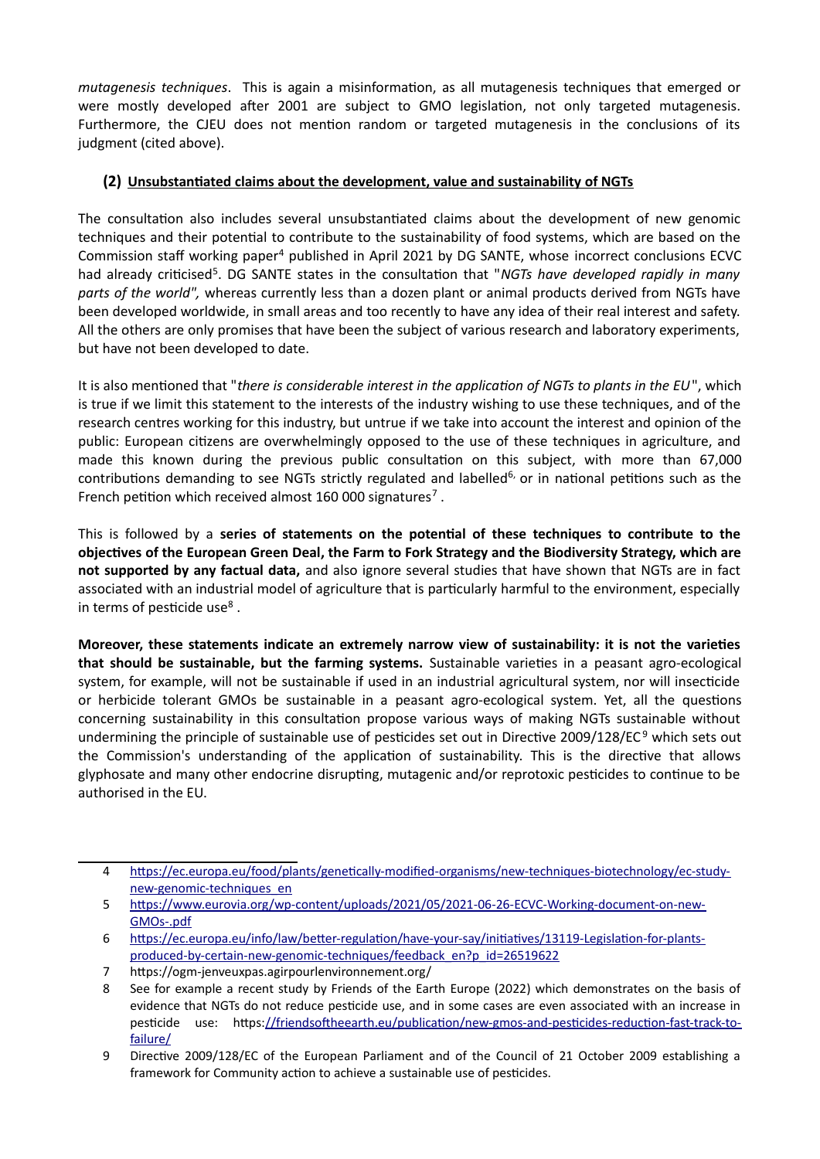*mutagenesis techniques*. This is again a misinformation, as all mutagenesis techniques that emerged or were mostly developed after 2001 are subject to GMO legislation, not only targeted mutagenesis. Furthermore, the CJEU does not mention random or targeted mutagenesis in the conclusions of its judgment (cited above).

### **(2) Unsubstantiated claims about the development, value and sustainability of NGTs**

The consultation also includes several unsubstantiated claims about the development of new genomic techniques and their potential to contribute to the sustainability of food systems, which are based on the Commission staff working paper<sup>[4](#page-1-0)</sup> published in April 2021 by DG SANTE, whose incorrect conclusions ECVC had already criticised<sup>[5](#page-1-1)</sup>. DG SANTE states in the consultation that "NGTs have developed rapidly in many *parts of the world",* whereas currently less than a dozen plant or animal products derived from NGTs have been developed worldwide, in small areas and too recently to have any idea of their real interest and safety. All the others are only promises that have been the subject of various research and laboratory experiments, but have not been developed to date.

It is also mentioned that "*there is considerable interest in the application of NGTs to plants in the EU*", which is true if we limit this statement to the interests of the industry wishing to use these techniques, and of the research centres working for this industry, but untrue if we take into account the interest and opinion of the public: European citizens are overwhelmingly opposed to the use of these techniques in agriculture, and made this known during the previous public consultation on this subject, with more than 67,000 contributions demanding to see NGTs strictly regulated and labelled<sup>[6,](#page-1-2)</sup> or in national petitions such as the French petition which received almost 160 000 signatures<sup>[7](#page-1-3)</sup>.

This is followed by a **series of statements on the potential of these techniques to contribute to the objectives of the European Green Deal, the Farm to Fork Strategy and the Biodiversity Strategy, which are not supported by any factual data,** and also ignore several studies that have shown that NGTs are in fact associated with an industrial model of agriculture that is particularly harmful to the environment, especially in terms of pesticide use $8$ .

**Moreover, these statements indicate an extremely narrow view of sustainability: it is not the varieties that should be sustainable, but the farming systems.** Sustainable varieties in a peasant agro-ecological system, for example, will not be sustainable if used in an industrial agricultural system, nor will insecticide or herbicide tolerant GMOs be sustainable in a peasant agro-ecological system. Yet, all the questions concerning sustainability in this consultation propose various ways of making NGTs sustainable without undermining the principle of sustainable use of pesticides set out in Directive 200[9](#page-1-5)/128/EC<sup>9</sup> which sets out the Commission's understanding of the application of sustainability. This is the directive that allows glyphosate and many other endocrine disrupting, mutagenic and/or reprotoxic pesticides to continue to be authorised in the EU.

<span id="page-1-0"></span><sup>4</sup> [https://ec.europa.eu/food/plants/genetically-modified-organisms/new-techniques-biotechnology/ec-study](https://ec.europa.eu/food/plants/genetically-modified-organisms/new-techniques-biotechnology/ec-study-new-genomic-techniques_en)[new-genomic-techniques\\_en](https://ec.europa.eu/food/plants/genetically-modified-organisms/new-techniques-biotechnology/ec-study-new-genomic-techniques_en)

<span id="page-1-1"></span><sup>5</sup> [https://www.eurovia.org/wp-content/uploads/2021/05/2021-06-26-ECVC-Working-document-on-new-](https://www.eurovia.org/wp-content/uploads/2021/05/2021-06-26-ECVC-Working-document-on-new-GMOs-.pdf)[GMOs-.pdf](https://www.eurovia.org/wp-content/uploads/2021/05/2021-06-26-ECVC-Working-document-on-new-GMOs-.pdf)

<span id="page-1-2"></span><sup>6</sup> [https://ec.europa.eu/info/law/better-regulation/have-your-say/initiatives/13119-Legislation-for-plants](https://ec.europa.eu/info/law/better-regulation/have-your-say/initiatives/13119-Legislation-for-plants-produced-by-certain-new-genomic-techniques/feedback_en?p_id=26519622)[produced-by-certain-new-genomic-techniques/feedback\\_en?p\\_id=26519622](https://ec.europa.eu/info/law/better-regulation/have-your-say/initiatives/13119-Legislation-for-plants-produced-by-certain-new-genomic-techniques/feedback_en?p_id=26519622)

<span id="page-1-3"></span><sup>7</sup> https://ogm-jenveuxpas.agirpourlenvironnement.org/

<span id="page-1-4"></span><sup>8</sup> See for example a recent study by Friends of the Earth Europe (2022) which demonstrates on the basis of evidence that NGTs do not reduce pesticide use, and in some cases are even associated with an increase in pesticide use: https:[//friendsoftheearth.eu/publication/new-gmos-and-pesticides-reduction-fast-track-to](https://friendsoftheearth.eu/publication/new-gmos-and-pesticides-reduction-fast-track-to-failure/)[failure/](https://friendsoftheearth.eu/publication/new-gmos-and-pesticides-reduction-fast-track-to-failure/)

<span id="page-1-5"></span><sup>9</sup> Directive 2009/128/EC of the European Parliament and of the Council of 21 October 2009 establishing a framework for Community action to achieve a sustainable use of pesticides.